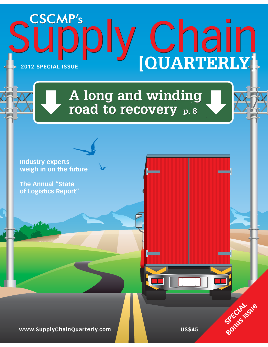# CSCMP'S<br>
UPPIY Chain Supply Chain **2012 SPECIAL ISSUE**

### **A long and winding road to recovery p. 8**

**Industry experts weigh in on the future**

**The Annual "State of Logistics Report"** 

**www.SupplyChainQuarterly.com and the Contract COS\$45** 

**SPECIAL**SUE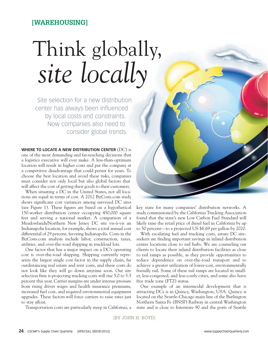### **[WAREHOUSING]**

## Think globally, *site locally*

Site selection for a new distribution center has always been influenced by local costs and constraints. Now companies also need to consider global trends.

**WHERE TO LOCATE A NEW DISTRIBUTION CENTER** (DC) is one of the most demanding and far-reaching decisions that a logistics executive will ever make. A less-than-optimum location will result in higher costs and put the company at a competitive disadvantage that could persist for years. To choose the best location and avoid these risks, companies must consider not only local but also global factors that will affect the cost of getting their goods to their customers.

When situating a DC in the United States, not all locations are equal in terms of cost. A 2012 BizCosts.com study shows significant cost variances among surveyed DC sites (see Figure 1). These figures are based on a hypothetical 150-worker distribution center occupying 450,000 square feet and serving a national market. A comparison of a Meadowlands/Northern New Jersey DC site vis-à-vis an Indianapolis location, for example, shows a total annual cost differential of 29 percent, favoring Indianapolis. Costs in the BizCosts.com analysis include labor, construction, taxes, utilities, and over-the-road shipping in truckload lots.

One factor that has a major impact on a DC's operating cost is over-the-road shipping. Shipping currently represents the largest single cost factor in the supply chain, far outdistancing real estate and rent costs, and these costs do not look like they will go down anytime soon. Our site selection firm is projecting trucking costs will rise 5.0 to 5.5 percent this year. Carrier margins are under intense pressure from rising driver wages and health insurance premiums, increased fuel cost, and required environmental equipment upgrades. These factors will force carriers to raise rates just to stay afloat.

Transportation costs are particularly steep in California, a



key state for many companies' distribution networks. A study commissioned by the California Trucking Association found that the state's new Low Carbon Fuel Standard will likely raise the retail price of diesel fuel in California by up to 50 percent—to a projected US \$6.69 per gallon by 2020.

With escalating fuel and trucking costs, astute DC siteseekers are finding important savings in inland distribution center locations close to rail hubs. We are counseling our clients to locate their inland distribution facilities as close to rail ramps as possible, as they provide opportunities to reduce dependence on over-the-road transport and to achieve a greater utilization of lower-cost, environmentally friendly rail. Some of these rail ramps are located in smaller, less-congested, and less-costly cities, and some also have free trade zone (FTZ) status.

One example of an intermodal development that is attracting DCs is in Quincy, Washington, USA. Quincy is located on the Seattle-Chicago main line of the Burlington Northern Santa Fe (BNSF) Railway in central Washington state and is close to Interstate 90 and the ports of Seattle

[BY JOHN H. BOYD]